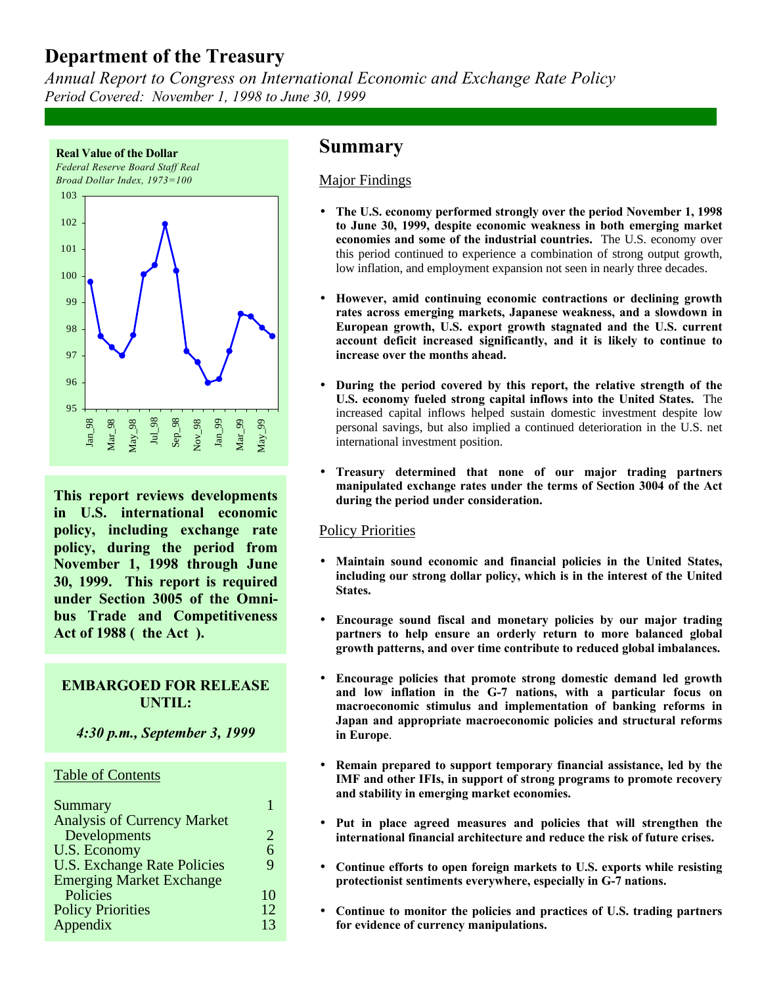*Annual Report to Congress on International Economic and Exchange Rate Policy Period Covered: November 1, 1998 to June 30, 1999*



**This report reviews developments in U.S. international economic policy, including exchange rate policy, during the period from November 1, 1998 through June 30, 1999. This report is required under Section 3005 of the Omnibus Trade and Competitiveness** Act of 1988 ( the Act ).

# **EMBARGOED FOR RELEASE UNTIL:**

*4:30 p.m., September 3, 1999*

## Table of Contents

| Summary                            |    |
|------------------------------------|----|
| <b>Analysis of Currency Market</b> |    |
| Developments                       | 2. |
| U.S. Economy                       | 6  |
| <b>U.S. Exchange Rate Policies</b> | Q  |
| <b>Emerging Market Exchange</b>    |    |
| Policies                           | 10 |
| <b>Policy Priorities</b>           | 12 |
| Appendix                           | 13 |
|                                    |    |

# **Summary**

## Major Findings

- **The U.S. economy performed strongly over the period November 1, 1998 to June 30, 1999, despite economic weakness in both emerging market economies and some of the industrial countries.** The U.S. economy over this period continued to experience a combination of strong output growth, low inflation, and employment expansion not seen in nearly three decades.
- **However, amid continuing economic contractions or declining growth rates across emerging markets, Japanese weakness, and a slowdown in European growth, U.S. export growth stagnated and the U.S. current account deficit increased significantly, and it is likely to continue to increase over the months ahead.**
- **During the period covered by this report, the relative strength of the U.S. economy fueled strong capital inflows into the United States.** The increased capital inflows helped sustain domestic investment despite low personal savings, but also implied a continued deterioration in the U.S. net international investment position.
- **Treasury determined that none of our major trading partners manipulated exchange rates under the terms of Section 3004 of the Act during the period under consideration.**

## Policy Priorities

- **Maintain sound economic and financial policies in the United States, including our strong dollar policy, which is in the interest of the United States.**
- **Encourage sound fiscal and monetary policies by our major trading partners to help ensure an orderly return to more balanced global growth patterns, and over time contribute to reduced global imbalances.**
- **Encourage policies that promote strong domestic demand led growth and low inflation in the G-7 nations, with a particular focus on macroeconomic stimulus and implementation of banking reforms in Japan and appropriate macroeconomic policies and structural reforms in Europe**.
- **Remain prepared to support temporary financial assistance, led by the IMF and other IFIs, in support of strong programs to promote recovery and stability in emerging market economies.**
- **Put in place agreed measures and policies that will strengthen the international financial architecture and reduce the risk of future crises.**
- **Continue efforts to open foreign markets to U.S. exports while resisting protectionist sentiments everywhere, especially in G-7 nations.**
- **Continue to monitor the policies and practices of U.S. trading partners for evidence of currency manipulations.**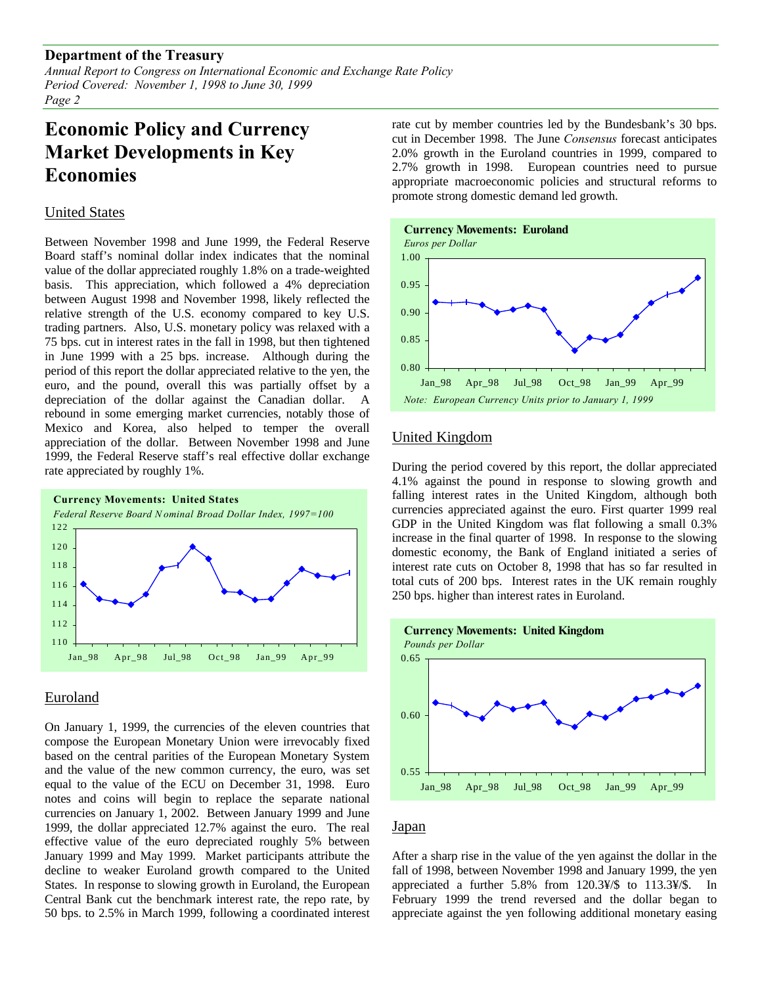*Annual Report to Congress on International Economic and Exchange Rate Policy Period Covered: November 1, 1998 to June 30, 1999 Page 2*

# **Economic Policy and Currency Market Developments in Key Economies**

## United States

Between November 1998 and June 1999, the Federal Reserve Board staff's nominal dollar index indicates that the nominal value of the dollar appreciated roughly 1.8% on a trade-weighted basis. This appreciation, which followed a 4% depreciation between August 1998 and November 1998, likely reflected the relative strength of the U.S. economy compared to key U.S. trading partners. Also, U.S. monetary policy was relaxed with a 75 bps. cut in interest rates in the fall in 1998, but then tightened in June 1999 with a 25 bps. increase. Although during the period of this report the dollar appreciated relative to the yen, the euro, and the pound, overall this was partially offset by a depreciation of the dollar against the Canadian dollar. A rebound in some emerging market currencies, notably those of Mexico and Korea, also helped to temper the overall appreciation of the dollar. Between November 1998 and June 1999, the Federal Reserve staff's real effective dollar exchange rate appreciated by roughly 1%.



## Euroland

On January 1, 1999, the currencies of the eleven countries that compose the European Monetary Union were irrevocably fixed based on the central parities of the European Monetary System and the value of the new common currency, the euro, was set equal to the value of the ECU on December 31, 1998. Euro notes and coins will begin to replace the separate national currencies on January 1, 2002. Between January 1999 and June 1999, the dollar appreciated 12.7% against the euro. The real effective value of the euro depreciated roughly 5% between January 1999 and May 1999. Market participants attribute the decline to weaker Euroland growth compared to the United States. In response to slowing growth in Euroland, the European Central Bank cut the benchmark interest rate, the repo rate, by 50 bps. to 2.5% in March 1999, following a coordinated interest

rate cut by member countries led by the Bundesbank's 30 bps. cut in December 1998. The June *Consensus* forecast anticipates 2.0% growth in the Euroland countries in 1999, compared to 2.7% growth in 1998. European countries need to pursue appropriate macroeconomic policies and structural reforms to promote strong domestic demand led growth.



## United Kingdom

During the period covered by this report, the dollar appreciated 4.1% against the pound in response to slowing growth and falling interest rates in the United Kingdom, although both currencies appreciated against the euro. First quarter 1999 real GDP in the United Kingdom was flat following a small 0.3% increase in the final quarter of 1998. In response to the slowing domestic economy, the Bank of England initiated a series of interest rate cuts on October 8, 1998 that has so far resulted in total cuts of 200 bps. Interest rates in the UK remain roughly 250 bps. higher than interest rates in Euroland.



### Japan

After a sharp rise in the value of the yen against the dollar in the fall of 1998, between November 1998 and January 1999, the yen appreciated a further 5.8% from 120.3¥/\$ to 113.3¥/\$. In February 1999 the trend reversed and the dollar began to appreciate against the yen following additional monetary easing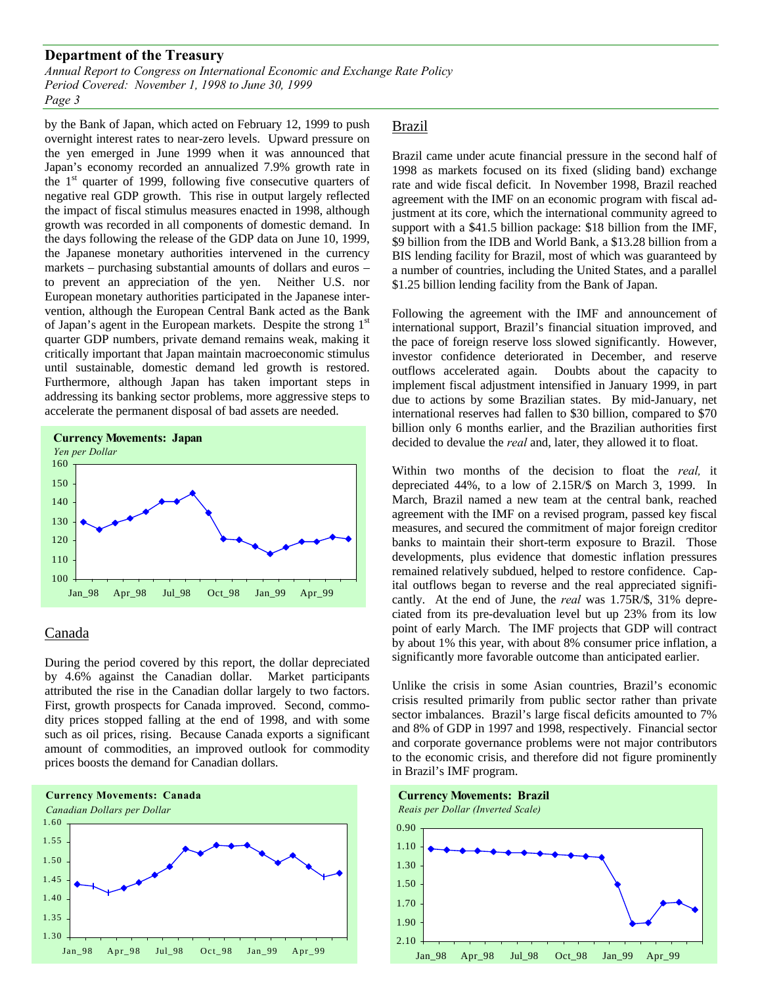*Annual Report to Congress on International Economic and Exchange Rate Policy Period Covered: November 1, 1998 to June 30, 1999 Page 3*

by the Bank of Japan, which acted on February 12, 1999 to push overnight interest rates to near-zero levels. Upward pressure on the yen emerged in June 1999 when it was announced that Japan's economy recorded an annualized 7.9% growth rate in the  $1<sup>st</sup>$  quarter of 1999, following five consecutive quarters of negative real GDP growth. This rise in output largely reflected the impact of fiscal stimulus measures enacted in 1998, although growth was recorded in all components of domestic demand. In the days following the release of the GDP data on June 10, 1999, the Japanese monetary authorities intervened in the currency markets – purchasing substantial amounts of dollars and euros – to prevent an appreciation of the yen. Neither U.S. nor European monetary authorities participated in the Japanese intervention, although the European Central Bank acted as the Bank of Japan's agent in the European markets. Despite the strong 1<sup>st</sup> quarter GDP numbers, private demand remains weak, making it critically important that Japan maintain macroeconomic stimulus until sustainable, domestic demand led growth is restored. Furthermore, although Japan has taken important steps in addressing its banking sector problems, more aggressive steps to accelerate the permanent disposal of bad assets are needed.



## Canada

During the period covered by this report, the dollar depreciated by 4.6% against the Canadian dollar. Market participants attributed the rise in the Canadian dollar largely to two factors. First, growth prospects for Canada improved. Second, commodity prices stopped falling at the end of 1998, and with some such as oil prices, rising. Because Canada exports a significant amount of commodities, an improved outlook for commodity prices boosts the demand for Canadian dollars.



### Brazil

Brazil came under acute financial pressure in the second half of 1998 as markets focused on its fixed (sliding band) exchange rate and wide fiscal deficit. In November 1998, Brazil reached agreement with the IMF on an economic program with fiscal adjustment at its core, which the international community agreed to support with a \$41.5 billion package: \$18 billion from the IMF, \$9 billion from the IDB and World Bank, a \$13.28 billion from a BIS lending facility for Brazil, most of which was guaranteed by a number of countries, including the United States, and a parallel \$1.25 billion lending facility from the Bank of Japan.

Following the agreement with the IMF and announcement of international support, Brazil's financial situation improved, and the pace of foreign reserve loss slowed significantly. However, investor confidence deteriorated in December, and reserve outflows accelerated again. Doubts about the capacity to implement fiscal adjustment intensified in January 1999, in part due to actions by some Brazilian states. By mid-January, net international reserves had fallen to \$30 billion, compared to \$70 billion only 6 months earlier, and the Brazilian authorities first decided to devalue the *real* and, later, they allowed it to float.

Within two months of the decision to float the *real,* it depreciated 44%, to a low of 2.15R/\$ on March 3, 1999. In March, Brazil named a new team at the central bank, reached agreement with the IMF on a revised program, passed key fiscal measures, and secured the commitment of major foreign creditor banks to maintain their short-term exposure to Brazil. Those developments, plus evidence that domestic inflation pressures remained relatively subdued, helped to restore confidence. Capital outflows began to reverse and the real appreciated significantly. At the end of June, the *real* was 1.75R/\$, 31% depreciated from its pre-devaluation level but up 23% from its low point of early March. The IMF projects that GDP will contract by about 1% this year, with about 8% consumer price inflation, a significantly more favorable outcome than anticipated earlier.

Unlike the crisis in some Asian countries, Brazil's economic crisis resulted primarily from public sector rather than private sector imbalances. Brazil's large fiscal deficits amounted to 7% and 8% of GDP in 1997 and 1998, respectively. Financial sector and corporate governance problems were not major contributors to the economic crisis, and therefore did not figure prominently in Brazil's IMF program.

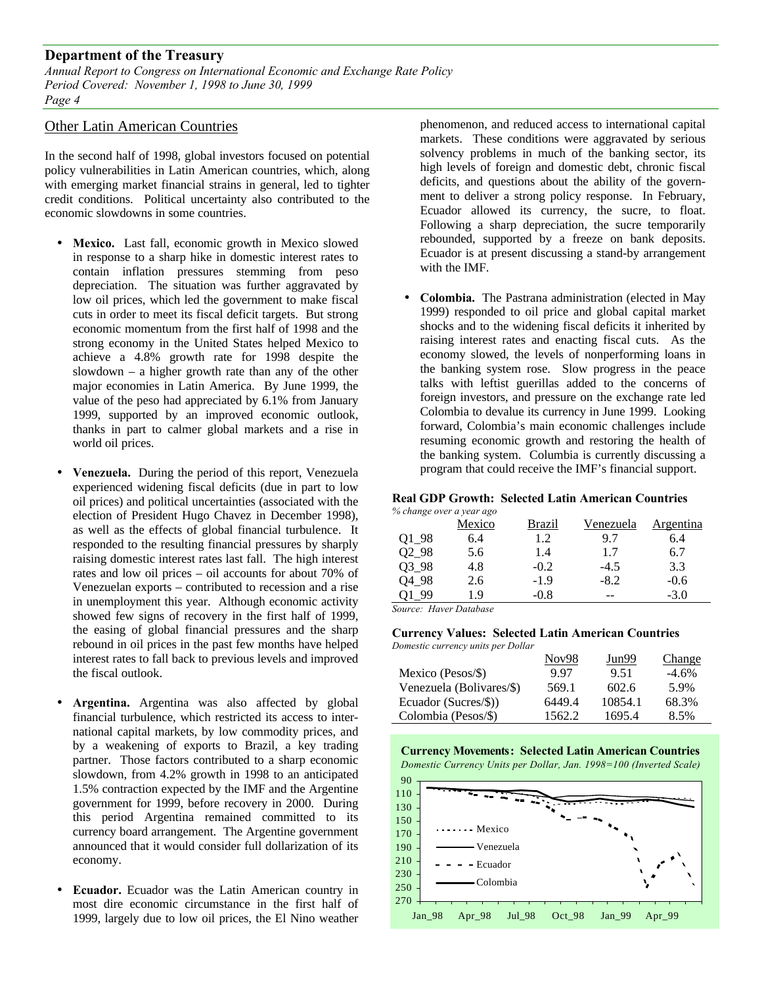*Annual Report to Congress on International Economic and Exchange Rate Policy Period Covered: November 1, 1998 to June 30, 1999 Page 4*

### Other Latin American Countries

In the second half of 1998, global investors focused on potential policy vulnerabilities in Latin American countries, which, along with emerging market financial strains in general, led to tighter credit conditions. Political uncertainty also contributed to the economic slowdowns in some countries.

- **Mexico.** Last fall, economic growth in Mexico slowed in response to a sharp hike in domestic interest rates to contain inflation pressures stemming from peso depreciation. The situation was further aggravated by low oil prices, which led the government to make fiscal cuts in order to meet its fiscal deficit targets. But strong economic momentum from the first half of 1998 and the strong economy in the United States helped Mexico to achieve a 4.8% growth rate for 1998 despite the slowdown – a higher growth rate than any of the other major economies in Latin America. By June 1999, the value of the peso had appreciated by 6.1% from January 1999, supported by an improved economic outlook, thanks in part to calmer global markets and a rise in world oil prices.
- **Venezuela.** During the period of this report, Venezuela experienced widening fiscal deficits (due in part to low oil prices) and political uncertainties (associated with the election of President Hugo Chavez in December 1998), as well as the effects of global financial turbulence. It responded to the resulting financial pressures by sharply raising domestic interest rates last fall. The high interest rates and low oil prices – oil accounts for about 70% of Venezuelan exports – contributed to recession and a rise in unemployment this year. Although economic activity showed few signs of recovery in the first half of 1999, the easing of global financial pressures and the sharp rebound in oil prices in the past few months have helped interest rates to fall back to previous levels and improved the fiscal outlook.
- **Argentina.** Argentina was also affected by global financial turbulence, which restricted its access to international capital markets, by low commodity prices, and by a weakening of exports to Brazil, a key trading partner. Those factors contributed to a sharp economic slowdown, from 4.2% growth in 1998 to an anticipated 1.5% contraction expected by the IMF and the Argentine government for 1999, before recovery in 2000. During this period Argentina remained committed to its currency board arrangement. The Argentine government announced that it would consider full dollarization of its economy.
- **Ecuador.** Ecuador was the Latin American country in most dire economic circumstance in the first half of 1999, largely due to low oil prices, the El Nino weather

phenomenon, and reduced access to international capital markets. These conditions were aggravated by serious solvency problems in much of the banking sector, its high levels of foreign and domestic debt, chronic fiscal deficits, and questions about the ability of the government to deliver a strong policy response. In February, Ecuador allowed its currency, the sucre, to float. Following a sharp depreciation, the sucre temporarily rebounded, supported by a freeze on bank deposits. Ecuador is at present discussing a stand-by arrangement with the IMF.

• **Colombia.** The Pastrana administration (elected in May 1999) responded to oil price and global capital market shocks and to the widening fiscal deficits it inherited by raising interest rates and enacting fiscal cuts. As the economy slowed, the levels of nonperforming loans in the banking system rose. Slow progress in the peace talks with leftist guerillas added to the concerns of foreign investors, and pressure on the exchange rate led Colombia to devalue its currency in June 1999. Looking forward, Colombia's main economic challenges include resuming economic growth and restoring the health of the banking system. Columbia is currently discussing a program that could receive the IMF's financial support.

## **Real GDP Growth: Selected Latin American Countries**

| % change over a year ago |        |        |           |           |
|--------------------------|--------|--------|-----------|-----------|
|                          | Mexico | Brazil | Venezuela | Argentina |
| Q1_98                    | 6.4    | 1.2    | 9.7       | 6.4       |
| 02 98                    | 5.6    | 1.4    | 1.7       | 6.7       |
| $Q3_98$                  | 4.8    | $-0.2$ | $-4.5$    | 3.3       |
| 04 98                    | 2.6    | $-1.9$ | $-8.2$    | $-0.6$    |
| 99                       | 1.9    | $-0.8$ |           | $-3.0$    |

*Source: Haver Database*

## **Currency Values: Selected Latin American Countries**

| Domestic currency units per Dollar |        |                   |         |
|------------------------------------|--------|-------------------|---------|
|                                    | Nov98  | Jun <sub>99</sub> | Change  |
| Mexico (Pesos/\$)                  | 997    | 9.51              | $-4.6%$ |
| Venezuela (Bolivares/\$)           | 569.1  | 602.6             | 5.9%    |
| Ecuador (Sucres/\$))               | 6449.4 | 10854.1           | 68.3%   |
| Colombia (Pesos/\$)                | 1562.2 | 1695.4            | 8.5%    |



*Domestic Currency Units per Dollar, Jan. 1998=100 (Inverted Scale)*

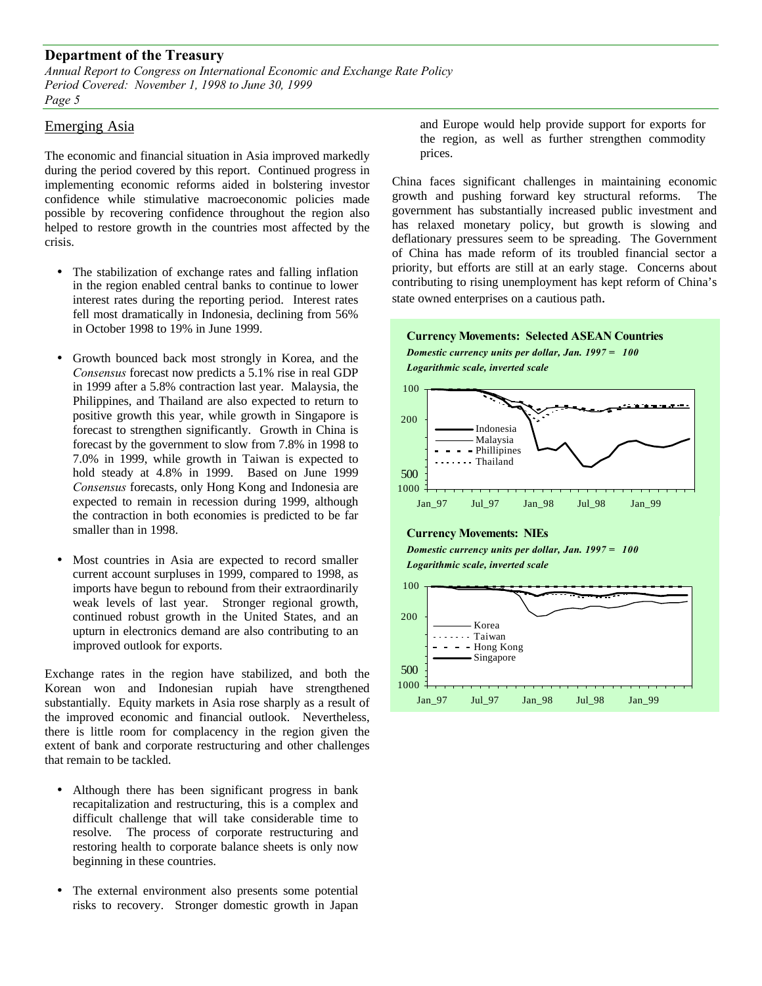*Annual Report to Congress on International Economic and Exchange Rate Policy Period Covered: November 1, 1998 to June 30, 1999 Page 5*

### Emerging Asia

The economic and financial situation in Asia improved markedly during the period covered by this report. Continued progress in implementing economic reforms aided in bolstering investor confidence while stimulative macroeconomic policies made possible by recovering confidence throughout the region also helped to restore growth in the countries most affected by the crisis.

- The stabilization of exchange rates and falling inflation in the region enabled central banks to continue to lower interest rates during the reporting period. Interest rates fell most dramatically in Indonesia, declining from 56% in October 1998 to 19% in June 1999.
- Growth bounced back most strongly in Korea, and the *Consensus* forecast now predicts a 5.1% rise in real GDP in 1999 after a 5.8% contraction last year. Malaysia, the Philippines, and Thailand are also expected to return to positive growth this year, while growth in Singapore is forecast to strengthen significantly. Growth in China is forecast by the government to slow from 7.8% in 1998 to 7.0% in 1999, while growth in Taiwan is expected to hold steady at 4.8% in 1999. Based on June 1999 *Consensus* forecasts, only Hong Kong and Indonesia are expected to remain in recession during 1999, although the contraction in both economies is predicted to be far smaller than in 1998.
- Most countries in Asia are expected to record smaller current account surpluses in 1999, compared to 1998, as imports have begun to rebound from their extraordinarily weak levels of last year. Stronger regional growth, continued robust growth in the United States, and an upturn in electronics demand are also contributing to an improved outlook for exports.

Exchange rates in the region have stabilized, and both the Korean won and Indonesian rupiah have strengthened substantially. Equity markets in Asia rose sharply as a result of the improved economic and financial outlook. Nevertheless, there is little room for complacency in the region given the extent of bank and corporate restructuring and other challenges that remain to be tackled.

- Although there has been significant progress in bank recapitalization and restructuring, this is a complex and difficult challenge that will take considerable time to resolve. The process of corporate restructuring and restoring health to corporate balance sheets is only now beginning in these countries.
- The external environment also presents some potential risks to recovery. Stronger domestic growth in Japan

and Europe would help provide support for exports for the region, as well as further strengthen commodity prices.

China faces significant challenges in maintaining economic growth and pushing forward key structural reforms. The government has substantially increased public investment and has relaxed monetary policy, but growth is slowing and deflationary pressures seem to be spreading. The Government of China has made reform of its troubled financial sector a priority, but efforts are still at an early stage. Concerns about contributing to rising unemployment has kept reform of China's state owned enterprises on a cautious path.





#### **Currency Movements: NIEs**

*Domestic currency units per dollar, Jan. 1997 = 100*

*Logarithmic scale, inverted scale*

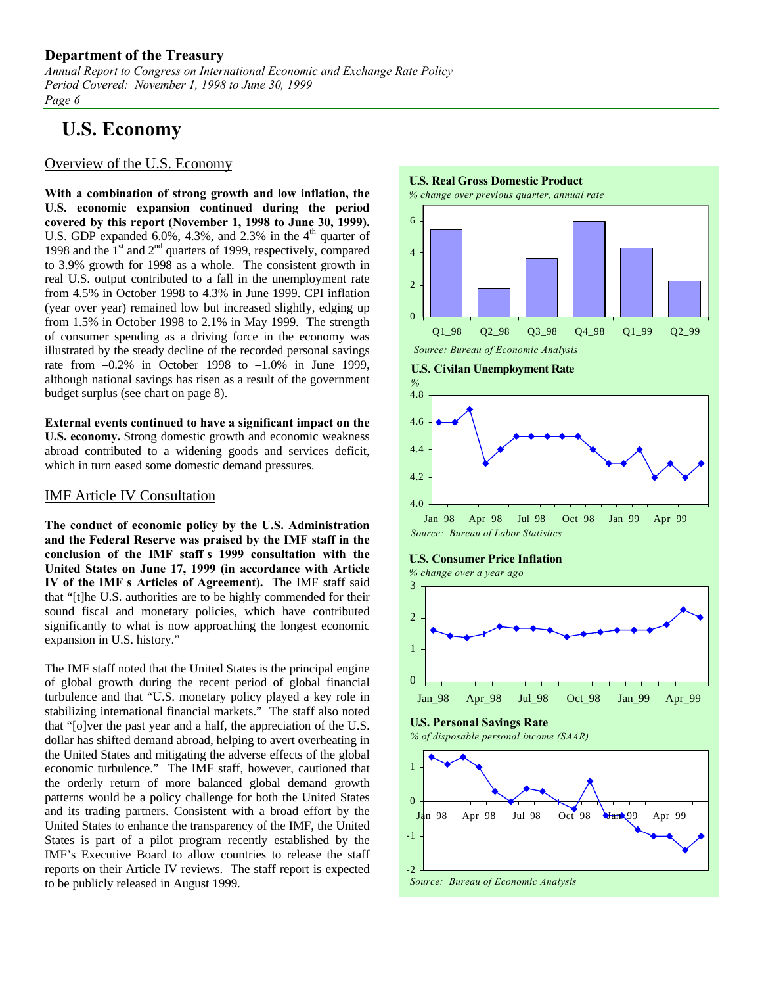*Annual Report to Congress on International Economic and Exchange Rate Policy Period Covered: November 1, 1998 to June 30, 1999 Page 6*

# **U.S. Economy**

## Overview of the U.S. Economy

**With a combination of strong growth and low inflation, the U.S. economic expansion continued during the period covered by this report (November 1, 1998 to June 30, 1999).** U.S. GDP expanded 6.0%, 4.3%, and 2.3% in the  $4<sup>th</sup>$  quarter of 1998 and the  $1<sup>st</sup>$  and  $2<sup>nd</sup>$  quarters of 1999, respectively, compared to 3.9% growth for 1998 as a whole. The consistent growth in real U.S. output contributed to a fall in the unemployment rate from 4.5% in October 1998 to 4.3% in June 1999. CPI inflation (year over year) remained low but increased slightly, edging up from 1.5% in October 1998 to 2.1% in May 1999. The strength of consumer spending as a driving force in the economy was illustrated by the steady decline of the recorded personal savings rate from  $-0.2\%$  in October 1998 to  $-1.0\%$  in June 1999, although national savings has risen as a result of the government budget surplus (see chart on page 8).

**External events continued to have a significant impact on the U.S. economy.** Strong domestic growth and economic weakness abroad contributed to a widening goods and services deficit, which in turn eased some domestic demand pressures.

## IMF Article IV Consultation

**The conduct of economic policy by the U.S. Administration and the Federal Reserve was praised by the IMF staff in the conclusion of the IMF staff's 1999 consultation with the United States on June 17, 1999 (in accordance with Article IV of the IMF's Articles of Agreement).** The IMF staff said that "[t]he U.S. authorities are to be highly commended for their sound fiscal and monetary policies, which have contributed significantly to what is now approaching the longest economic expansion in U.S. history."

The IMF staff noted that the United States is the principal engine of global growth during the recent period of global financial turbulence and that "U.S. monetary policy played a key role in stabilizing international financial markets." The staff also noted that "[o]ver the past year and a half, the appreciation of the U.S. dollar has shifted demand abroad, helping to avert overheating in the United States and mitigating the adverse effects of the global economic turbulence." The IMF staff, however, cautioned that the orderly return of more balanced global demand growth patterns would be a policy challenge for both the United States and its trading partners. Consistent with a broad effort by the United States to enhance the transparency of the IMF, the United States is part of a pilot program recently established by the IMF's Executive Board to allow countries to release the staff reports on their Article IV reviews. The staff report is expected to be publicly released in August 1999.

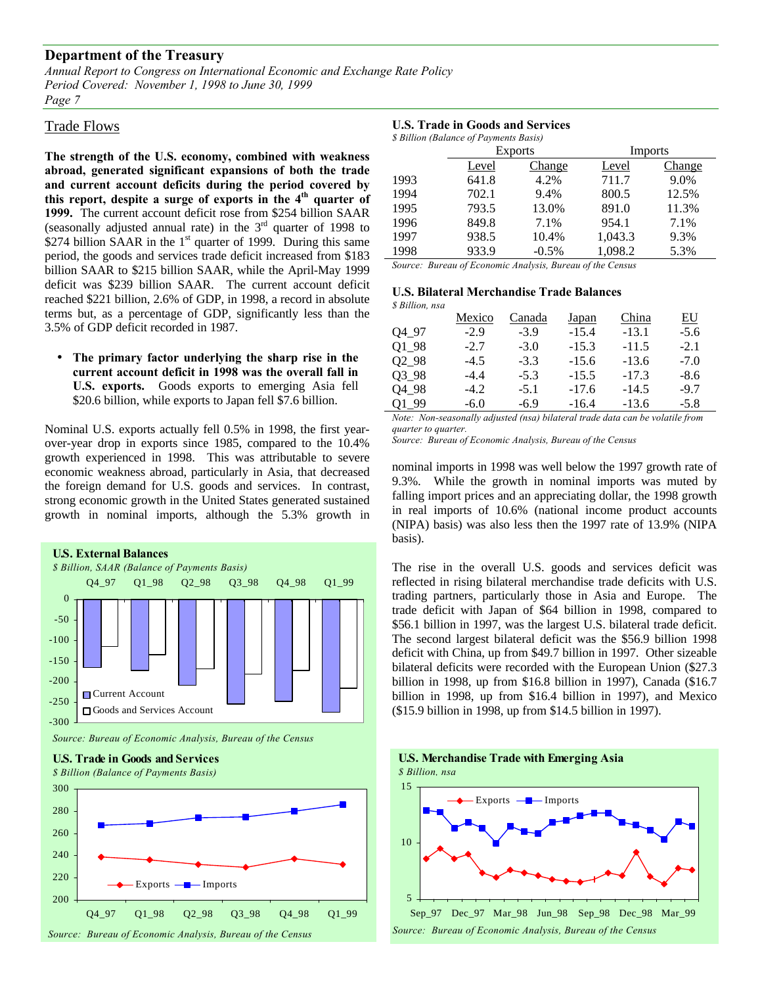*Annual Report to Congress on International Economic and Exchange Rate Policy Period Covered: November 1, 1998 to June 30, 1999 Page 7*

#### Trade Flows

**The strength of the U.S. economy, combined with weakness abroad, generated significant expansions of both the trade and current account deficits during the period covered by this report, despite a surge of exports in the 4th quarter of 1999.** The current account deficit rose from \$254 billion SAAR (seasonally adjusted annual rate) in the  $3<sup>rd</sup>$  quarter of 1998 to \$274 billion SAAR in the  $1<sup>st</sup>$  quarter of 1999. During this same period, the goods and services trade deficit increased from \$183 billion SAAR to \$215 billion SAAR, while the April-May 1999 deficit was \$239 billion SAAR. The current account deficit reached \$221 billion, 2.6% of GDP, in 1998, a record in absolute terms but, as a percentage of GDP, significantly less than the 3.5% of GDP deficit recorded in 1987.

• **The primary factor underlying the sharp rise in the current account deficit in 1998 was the overall fall in U.S. exports.** Goods exports to emerging Asia fell \$20.6 billion, while exports to Japan fell \$7.6 billion.

Nominal U.S. exports actually fell 0.5% in 1998, the first yearover-year drop in exports since 1985, compared to the 10.4% growth experienced in 1998. This was attributable to severe economic weakness abroad, particularly in Asia, that decreased the foreign demand for U.S. goods and services. In contrast, strong economic growth in the United States generated sustained growth in nominal imports, although the 5.3% growth in



#### **U.S. Trade in Goods and Services**

| \$ Billion (Balance of Payments Basis) |                       |                           |                |        |  |  |
|----------------------------------------|-----------------------|---------------------------|----------------|--------|--|--|
|                                        | <b>Exports</b>        |                           | <b>Imports</b> |        |  |  |
|                                        | Level                 | Change                    | Level          | Change |  |  |
| 1993                                   | 641.8                 | 4.2%                      | 711.7          | 9.0%   |  |  |
| 1994                                   | 702.1                 | 9.4%                      | 800.5          | 12.5%  |  |  |
| 1995                                   | 793.5                 | 13.0%                     | 891.0          | 11.3%  |  |  |
| 1996                                   | 849.8                 | 7.1%                      | 954.1          | 7.1%   |  |  |
| 1997                                   | 938.5                 | 10.4%                     | 1.043.3        | 9.3%   |  |  |
| 1998                                   | 933.9                 | $-0.5\%$                  | 1,098.2        | 5.3%   |  |  |
| $\sim$<br>n.                           | $\sim$ $\blacksquare$ | $\mathbf{r}$ $\mathbf{r}$ | $c_{1}$ $\sim$ |        |  |  |

*Source: Bureau of Economic Analysis, Bureau of the Census*

#### **U.S. Bilateral Merchandise Trade Balances** *\$ Billion, nsa*

| <i>» виноп, п</i> за |        |        |         |         |        |
|----------------------|--------|--------|---------|---------|--------|
|                      | Mexico | Canada | Japan   | China   | EU     |
| Q4 97                | $-2.9$ | $-3.9$ | $-15.4$ | $-13.1$ | $-5.6$ |
| O1 98                | $-2.7$ | $-3.0$ | $-15.3$ | $-11.5$ | $-2.1$ |
| 0298                 | $-4.5$ | $-3.3$ | $-15.6$ | $-13.6$ | $-7.0$ |
| 03 98                | $-4.4$ | $-5.3$ | $-15.5$ | $-17.3$ | $-8.6$ |
| Q4_98                | $-4.2$ | $-5.1$ | $-17.6$ | $-14.5$ | $-9.7$ |
| Q1 99                | $-6.0$ | $-6.9$ | $-16.4$ | $-13.6$ | $-5.8$ |

*Note: Non-seasonally adjusted (nsa) bilateral trade data can be volatile from quarter to quarter.*

*Source: Bureau of Economic Analysis, Bureau of the Census*

nominal imports in 1998 was well below the 1997 growth rate of 9.3%. While the growth in nominal imports was muted by falling import prices and an appreciating dollar, the 1998 growth in real imports of 10.6% (national income product accounts (NIPA) basis) was also less then the 1997 rate of 13.9% (NIPA basis).

The rise in the overall U.S. goods and services deficit was reflected in rising bilateral merchandise trade deficits with U.S. trading partners, particularly those in Asia and Europe. The trade deficit with Japan of \$64 billion in 1998, compared to \$56.1 billion in 1997, was the largest U.S. bilateral trade deficit. The second largest bilateral deficit was the \$56.9 billion 1998 deficit with China, up from \$49.7 billion in 1997. Other sizeable bilateral deficits were recorded with the European Union (\$27.3 billion in 1998, up from \$16.8 billion in 1997), Canada (\$16.7 billion in 1998, up from \$16.4 billion in 1997), and Mexico (\$15.9 billion in 1998, up from \$14.5 billion in 1997).

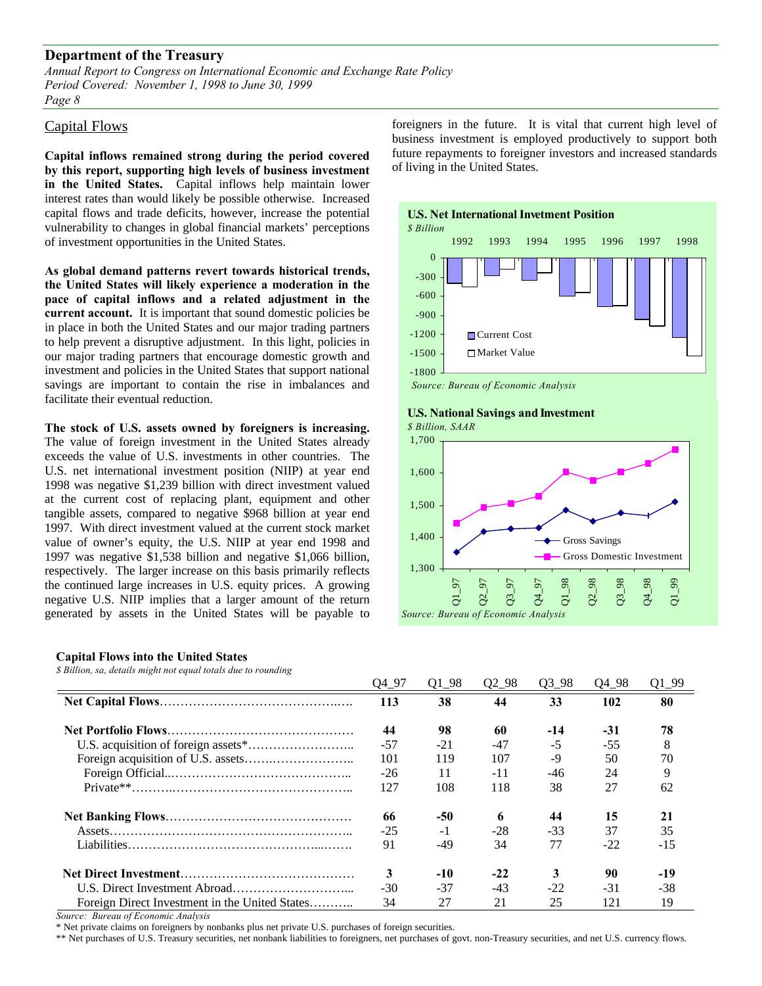*Annual Report to Congress on International Economic and Exchange Rate Policy Period Covered: November 1, 1998 to June 30, 1999 Page 8*

#### Capital Flows

**Capital inflows remained strong during the period covered by this report, supporting high levels of business investment in the United States.** Capital inflows help maintain lower interest rates than would likely be possible otherwise. Increased capital flows and trade deficits, however, increase the potential vulnerability to changes in global financial markets' perceptions of investment opportunities in the United States.

**As global demand patterns revert towards historical trends, the United States will likely experience a moderation in the pace of capital inflows and a related adjustment in the current account.** It is important that sound domestic policies be in place in both the United States and our major trading partners to help prevent a disruptive adjustment. In this light, policies in our major trading partners that encourage domestic growth and investment and policies in the United States that support national savings are important to contain the rise in imbalances and facilitate their eventual reduction.

**The stock of U.S. assets owned by foreigners is increasing.** The value of foreign investment in the United States already exceeds the value of U.S. investments in other countries. The U.S. net international investment position (NIIP) at year end 1998 was negative \$1,239 billion with direct investment valued at the current cost of replacing plant, equipment and other tangible assets, compared to negative \$968 billion at year end 1997. With direct investment valued at the current stock market value of owner's equity, the U.S. NIIP at year end 1998 and 1997 was negative \$1,538 billion and negative \$1,066 billion, respectively. The larger increase on this basis primarily reflects the continued large increases in U.S. equity prices. A growing negative U.S. NIIP implies that a larger amount of the return generated by assets in the United States will be payable to

#### **Capital Flows into the United States**

*\$ Billion, sa, details might not equal totals due to rounding*

|                                                | O <sub>4</sub> 97 | $Q1_98$ | $Q2_98$ | $Q3_98$ | Q4 98 | $Q1_99$ |
|------------------------------------------------|-------------------|---------|---------|---------|-------|---------|
|                                                | 113               | 38      | 44      | 33      | 102   | 80      |
|                                                | 44                | 98      | 60      | $-14$   | $-31$ | 78      |
|                                                | $-57$             | $-21$   | -47     | $-5$    | $-55$ | 8       |
|                                                | 101               | 119     | 107     | -9      | 50    | 70      |
|                                                | $-26$             | 11      | $-11$   | $-46$   | 24    | 9       |
|                                                | 127               | 108     | 118     | 38      | 27    | 62      |
|                                                | 66                | $-50$   | 6       | 44      | 15    | 21      |
|                                                | $-25$             | $-1$    | $-28$   | $-33$   | 37    | 35      |
|                                                | 91                | $-49$   | 34      | 77      | $-22$ | $-15$   |
|                                                | 3                 | $-10$   | $-22$   | 3       | 90    | $-19$   |
|                                                | $-30$             | $-37$   | $-43$   | $-22$   | $-31$ | $-38$   |
| Foreign Direct Investment in the United States | 34                | 27      | 21      | 25      | 121   | 19      |

*Source: Bureau of Economic Analysis*

\* Net private claims on foreigners by nonbanks plus net private U.S. purchases of foreign securities.

\*\* Net purchases of U.S. Treasury securities, net nonbank liabilities to foreigners, net purchases of govt. non-Treasury securities, and net U.S. currency flows.

foreigners in the future. It is vital that current high level of business investment is employed productively to support both future repayments to foreigner investors and increased standards of living in the United States.



## **U.S. National Savings and Investment**

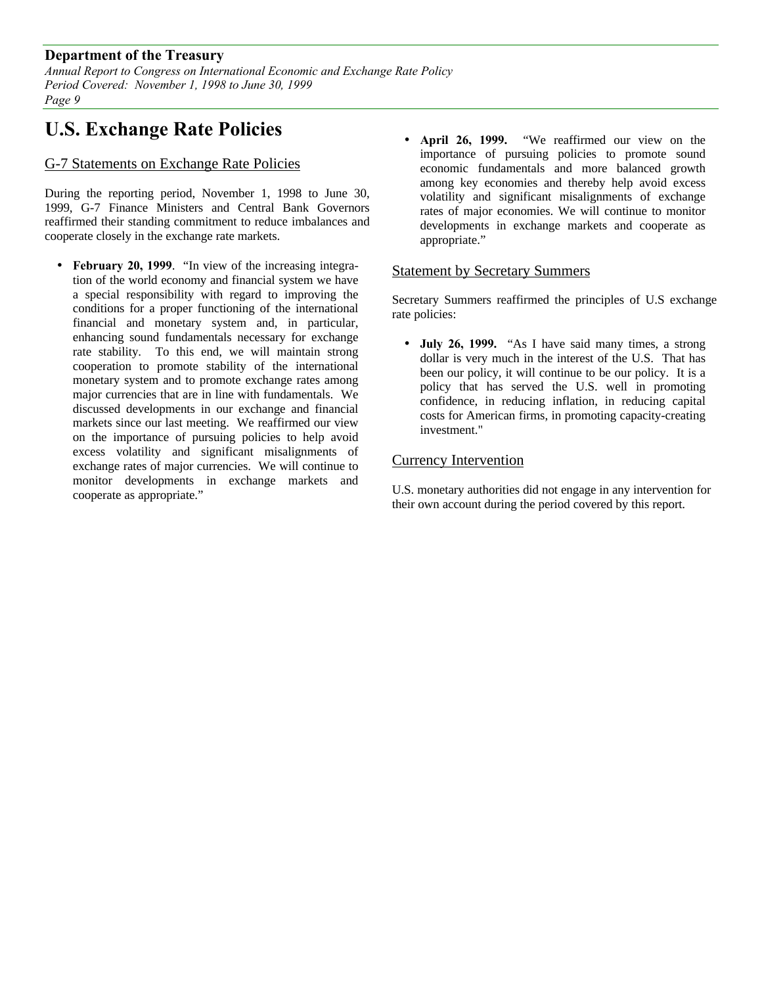*Annual Report to Congress on International Economic and Exchange Rate Policy Period Covered: November 1, 1998 to June 30, 1999 Page 9*

# **U.S. Exchange Rate Policies**

## G-7 Statements on Exchange Rate Policies

During the reporting period, November 1, 1998 to June 30, 1999, G-7 Finance Ministers and Central Bank Governors reaffirmed their standing commitment to reduce imbalances and cooperate closely in the exchange rate markets.

- **February 20, 1999**. "In view of the increasing integration of the world economy and financial system we have a special responsibility with regard to improving the conditions for a proper functioning of the international financial and monetary system and, in particular, enhancing sound fundamentals necessary for exchange rate stability. To this end, we will maintain strong cooperation to promote stability of the international monetary system and to promote exchange rates among major currencies that are in line with fundamentals. We discussed developments in our exchange and financial markets since our last meeting. We reaffirmed our view on the importance of pursuing policies to help avoid excess volatility and significant misalignments of exchange rates of major currencies. We will continue to monitor developments in exchange markets and cooperate as appropriate."
- **April 26, 1999.** "We reaffirmed our view on the importance of pursuing policies to promote sound economic fundamentals and more balanced growth among key economies and thereby help avoid excess volatility and significant misalignments of exchange rates of major economies. We will continue to monitor developments in exchange markets and cooperate as appropriate."

## Statement by Secretary Summers

Secretary Summers reaffirmed the principles of U.S exchange rate policies:

• **July 26, 1999.** "As I have said many times, a strong dollar is very much in the interest of the U.S. That has been our policy, it will continue to be our policy. It is a policy that has served the U.S. well in promoting confidence, in reducing inflation, in reducing capital costs for American firms, in promoting capacity-creating investment."

## Currency Intervention

U.S. monetary authorities did not engage in any intervention for their own account during the period covered by this report.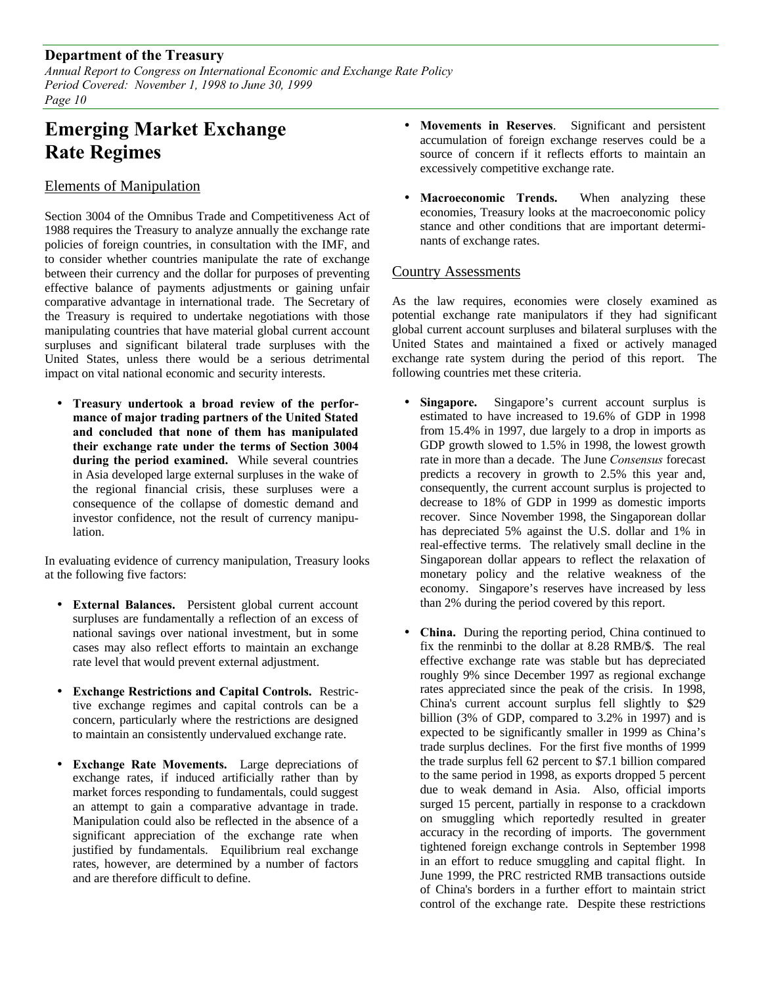*Annual Report to Congress on International Economic and Exchange Rate Policy Period Covered: November 1, 1998 to June 30, 1999 Page 10*

# **Emerging Market Exchange Rate Regimes**

## Elements of Manipulation

Section 3004 of the Omnibus Trade and Competitiveness Act of 1988 requires the Treasury to analyze annually the exchange rate policies of foreign countries, in consultation with the IMF, and to consider whether countries manipulate the rate of exchange between their currency and the dollar for purposes of preventing effective balance of payments adjustments or gaining unfair comparative advantage in international trade. The Secretary of the Treasury is required to undertake negotiations with those manipulating countries that have material global current account surpluses and significant bilateral trade surpluses with the United States, unless there would be a serious detrimental impact on vital national economic and security interests.

• **Treasury undertook a broad review of the performance of major trading partners of the United Stated and concluded that none of them has manipulated their exchange rate under the terms of Section 3004 during the period examined.** While several countries in Asia developed large external surpluses in the wake of the regional financial crisis, these surpluses were a consequence of the collapse of domestic demand and investor confidence, not the result of currency manipulation.

In evaluating evidence of currency manipulation, Treasury looks at the following five factors:

- **External Balances.** Persistent global current account surpluses are fundamentally a reflection of an excess of national savings over national investment, but in some cases may also reflect efforts to maintain an exchange rate level that would prevent external adjustment.
- **Exchange Restrictions and Capital Controls.** Restrictive exchange regimes and capital controls can be a concern, particularly where the restrictions are designed to maintain an consistently undervalued exchange rate.
- **Exchange Rate Movements.** Large depreciations of exchange rates, if induced artificially rather than by market forces responding to fundamentals, could suggest an attempt to gain a comparative advantage in trade. Manipulation could also be reflected in the absence of a significant appreciation of the exchange rate when justified by fundamentals. Equilibrium real exchange rates, however, are determined by a number of factors and are therefore difficult to define.
- **Movements in Reserves**. Significant and persistent accumulation of foreign exchange reserves could be a source of concern if it reflects efforts to maintain an excessively competitive exchange rate.
- Macroeconomic Trends. When analyzing these economies, Treasury looks at the macroeconomic policy stance and other conditions that are important determinants of exchange rates.

## Country Assessments

As the law requires, economies were closely examined as potential exchange rate manipulators if they had significant global current account surpluses and bilateral surpluses with the United States and maintained a fixed or actively managed exchange rate system during the period of this report. The following countries met these criteria.

- **Singapore.** Singapore's current account surplus is estimated to have increased to 19.6% of GDP in 1998 from 15.4% in 1997, due largely to a drop in imports as GDP growth slowed to 1.5% in 1998, the lowest growth rate in more than a decade. The June *Consensus* forecast predicts a recovery in growth to 2.5% this year and, consequently, the current account surplus is projected to decrease to 18% of GDP in 1999 as domestic imports recover. Since November 1998, the Singaporean dollar has depreciated 5% against the U.S. dollar and 1% in real-effective terms. The relatively small decline in the Singaporean dollar appears to reflect the relaxation of monetary policy and the relative weakness of the economy. Singapore's reserves have increased by less than 2% during the period covered by this report.
- **China.** During the reporting period, China continued to fix the renminbi to the dollar at 8.28 RMB/\$. The real effective exchange rate was stable but has depreciated roughly 9% since December 1997 as regional exchange rates appreciated since the peak of the crisis. In 1998, China's current account surplus fell slightly to \$29 billion (3% of GDP, compared to 3.2% in 1997) and is expected to be significantly smaller in 1999 as China's trade surplus declines. For the first five months of 1999 the trade surplus fell 62 percent to \$7.1 billion compared to the same period in 1998, as exports dropped 5 percent due to weak demand in Asia. Also, official imports surged 15 percent, partially in response to a crackdown on smuggling which reportedly resulted in greater accuracy in the recording of imports. The government tightened foreign exchange controls in September 1998 in an effort to reduce smuggling and capital flight. In June 1999, the PRC restricted RMB transactions outside of China's borders in a further effort to maintain strict control of the exchange rate. Despite these restrictions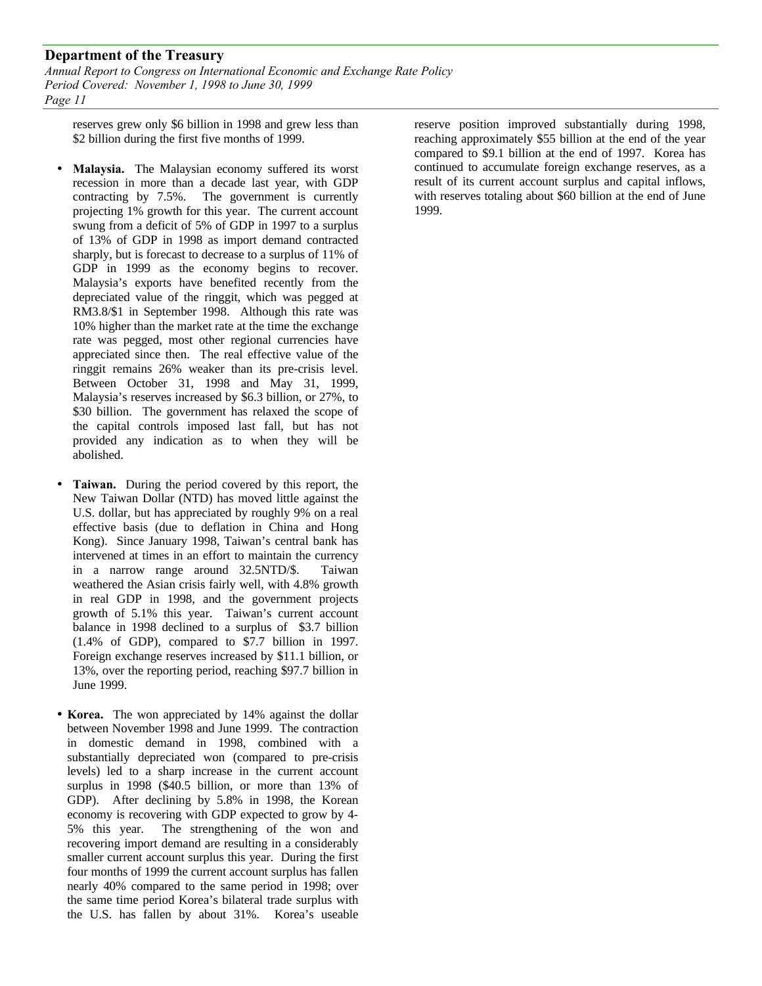*Annual Report to Congress on International Economic and Exchange Rate Policy Period Covered: November 1, 1998 to June 30, 1999 Page 11*

reserves grew only \$6 billion in 1998 and grew less than \$2 billion during the first five months of 1999.

- **Malaysia.** The Malaysian economy suffered its worst recession in more than a decade last year, with GDP contracting by 7.5%. The government is currently projecting 1% growth for this year. The current account swung from a deficit of 5% of GDP in 1997 to a surplus of 13% of GDP in 1998 as import demand contracted sharply, but is forecast to decrease to a surplus of 11% of GDP in 1999 as the economy begins to recover. Malaysia's exports have benefited recently from the depreciated value of the ringgit, which was pegged at RM3.8/\$1 in September 1998. Although this rate was 10% higher than the market rate at the time the exchange rate was pegged, most other regional currencies have appreciated since then. The real effective value of the ringgit remains 26% weaker than its pre-crisis level. Between October 31, 1998 and May 31, 1999, Malaysia's reserves increased by \$6.3 billion, or 27%, to \$30 billion. The government has relaxed the scope of the capital controls imposed last fall, but has not provided any indication as to when they will be abolished.
- **Taiwan.** During the period covered by this report, the New Taiwan Dollar (NTD) has moved little against the U.S. dollar, but has appreciated by roughly 9% on a real effective basis (due to deflation in China and Hong Kong). Since January 1998, Taiwan's central bank has intervened at times in an effort to maintain the currency in a narrow range around 32.5NTD/\$. Taiwan weathered the Asian crisis fairly well, with 4.8% growth in real GDP in 1998, and the government projects growth of 5.1% this year. Taiwan's current account balance in 1998 declined to a surplus of \$3.7 billion (1.4% of GDP), compared to \$7.7 billion in 1997. Foreign exchange reserves increased by \$11.1 billion, or 13%, over the reporting period, reaching \$97.7 billion in June 1999.
- **Korea.** The won appreciated by 14% against the dollar between November 1998 and June 1999. The contraction in domestic demand in 1998, combined with a substantially depreciated won (compared to pre-crisis levels) led to a sharp increase in the current account surplus in 1998 (\$40.5 billion, or more than 13% of GDP). After declining by 5.8% in 1998, the Korean economy is recovering with GDP expected to grow by 4- 5% this year. The strengthening of the won and recovering import demand are resulting in a considerably smaller current account surplus this year. During the first four months of 1999 the current account surplus has fallen nearly 40% compared to the same period in 1998; over the same time period Korea's bilateral trade surplus with the U.S. has fallen by about 31%. Korea's useable

reserve position improved substantially during 1998, reaching approximately \$55 billion at the end of the year compared to \$9.1 billion at the end of 1997. Korea has continued to accumulate foreign exchange reserves, as a result of its current account surplus and capital inflows, with reserves totaling about \$60 billion at the end of June 1999.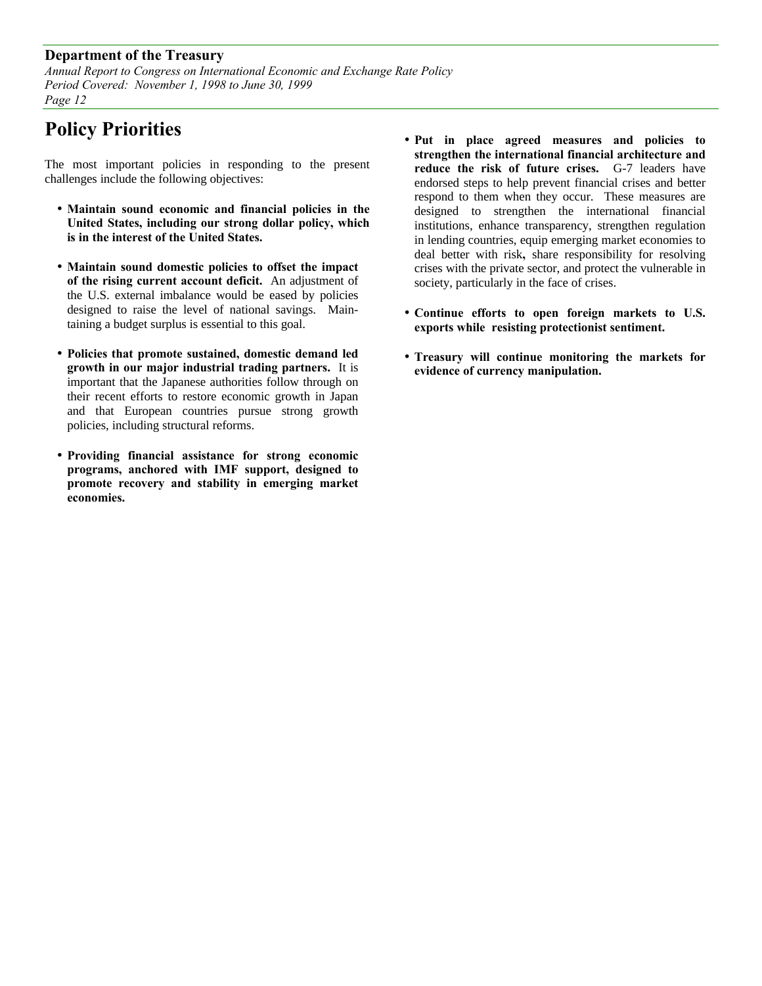*Annual Report to Congress on International Economic and Exchange Rate Policy Period Covered: November 1, 1998 to June 30, 1999 Page 12*

# **Policy Priorities**

The most important policies in responding to the present challenges include the following objectives:

- **Maintain sound economic and financial policies in the United States, including our strong dollar policy, which is in the interest of the United States.**
- **Maintain sound domestic policies to offset the impact of the rising current account deficit.** An adjustment of the U.S. external imbalance would be eased by policies designed to raise the level of national savings. Maintaining a budget surplus is essential to this goal.
- **Policies that promote sustained, domestic demand led growth in our major industrial trading partners.** It is important that the Japanese authorities follow through on their recent efforts to restore economic growth in Japan and that European countries pursue strong growth policies, including structural reforms.
- **Providing financial assistance for strong economic programs, anchored with IMF support, designed to promote recovery and stability in emerging market economies.**
- **Put in place agreed measures and policies to strengthen the international financial architecture and reduce the risk of future crises.** G-7 leaders have endorsed steps to help prevent financial crises and better respond to them when they occur. These measures are designed to strengthen the international financial institutions, enhance transparency, strengthen regulation in lending countries, equip emerging market economies to deal better with risk**,** share responsibility for resolving crises with the private sector, and protect the vulnerable in society, particularly in the face of crises.
- **Continue efforts to open foreign markets to U.S. exports while resisting protectionist sentiment.**
- **Treasury will continue monitoring the markets for evidence of currency manipulation.**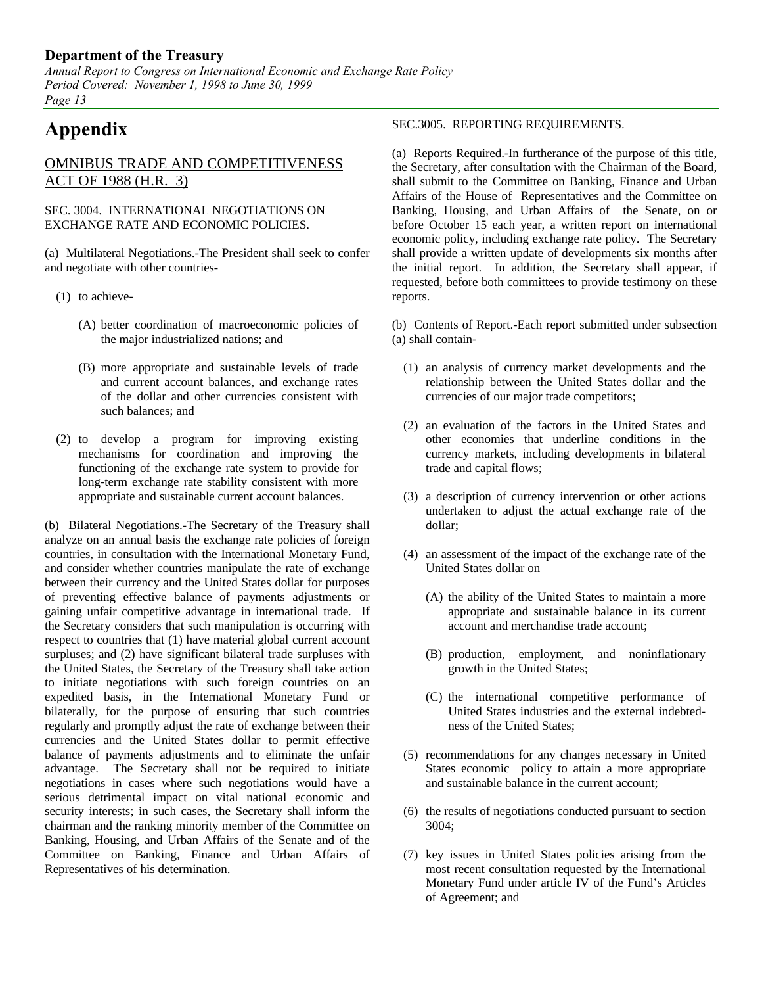*Annual Report to Congress on International Economic and Exchange Rate Policy Period Covered: November 1, 1998 to June 30, 1999 Page 13*

# **Appendix**

# OMNIBUS TRADE AND COMPETITIVENESS ACT OF 1988 (H.R. 3)

#### SEC. 3004. INTERNATIONAL NEGOTIATIONS ON EXCHANGE RATE AND ECONOMIC POLICIES.

(a) Multilateral Negotiations.-The President shall seek to confer and negotiate with other countries-

- (1) to achieve-
	- (A) better coordination of macroeconomic policies of the major industrialized nations; and
	- (B) more appropriate and sustainable levels of trade and current account balances, and exchange rates of the dollar and other currencies consistent with such balances; and
- (2) to develop a program for improving existing mechanisms for coordination and improving the functioning of the exchange rate system to provide for long-term exchange rate stability consistent with more appropriate and sustainable current account balances.

(b) Bilateral Negotiations.-The Secretary of the Treasury shall analyze on an annual basis the exchange rate policies of foreign countries, in consultation with the International Monetary Fund, and consider whether countries manipulate the rate of exchange between their currency and the United States dollar for purposes of preventing effective balance of payments adjustments or gaining unfair competitive advantage in international trade. If the Secretary considers that such manipulation is occurring with respect to countries that (1) have material global current account surpluses; and (2) have significant bilateral trade surpluses with the United States, the Secretary of the Treasury shall take action to initiate negotiations with such foreign countries on an expedited basis, in the International Monetary Fund or bilaterally, for the purpose of ensuring that such countries regularly and promptly adjust the rate of exchange between their currencies and the United States dollar to permit effective balance of payments adjustments and to eliminate the unfair advantage. The Secretary shall not be required to initiate negotiations in cases where such negotiations would have a serious detrimental impact on vital national economic and security interests; in such cases, the Secretary shall inform the chairman and the ranking minority member of the Committee on Banking, Housing, and Urban Affairs of the Senate and of the Committee on Banking, Finance and Urban Affairs of Representatives of his determination.

#### SEC.3005. REPORTING REQUIREMENTS.

(a) Reports Required.-In furtherance of the purpose of this title, the Secretary, after consultation with the Chairman of the Board, shall submit to the Committee on Banking, Finance and Urban Affairs of the House of Representatives and the Committee on Banking, Housing, and Urban Affairs of the Senate, on or before October 15 each year, a written report on international economic policy, including exchange rate policy. The Secretary shall provide a written update of developments six months after the initial report. In addition, the Secretary shall appear, if requested, before both committees to provide testimony on these reports.

(b) Contents of Report.-Each report submitted under subsection (a) shall contain-

- (1) an analysis of currency market developments and the relationship between the United States dollar and the currencies of our major trade competitors;
- (2) an evaluation of the factors in the United States and other economies that underline conditions in the currency markets, including developments in bilateral trade and capital flows;
- (3) a description of currency intervention or other actions undertaken to adjust the actual exchange rate of the dollar;
- (4) an assessment of the impact of the exchange rate of the United States dollar on
	- (A) the ability of the United States to maintain a more appropriate and sustainable balance in its current account and merchandise trade account;
	- (B) production, employment, and noninflationary growth in the United States;
	- (C) the international competitive performance of United States industries and the external indebtedness of the United States;
- (5) recommendations for any changes necessary in United States economic policy to attain a more appropriate and sustainable balance in the current account;
- (6) the results of negotiations conducted pursuant to section 3004;
- (7) key issues in United States policies arising from the most recent consultation requested by the International Monetary Fund under article IV of the Fund's Articles of Agreement; and